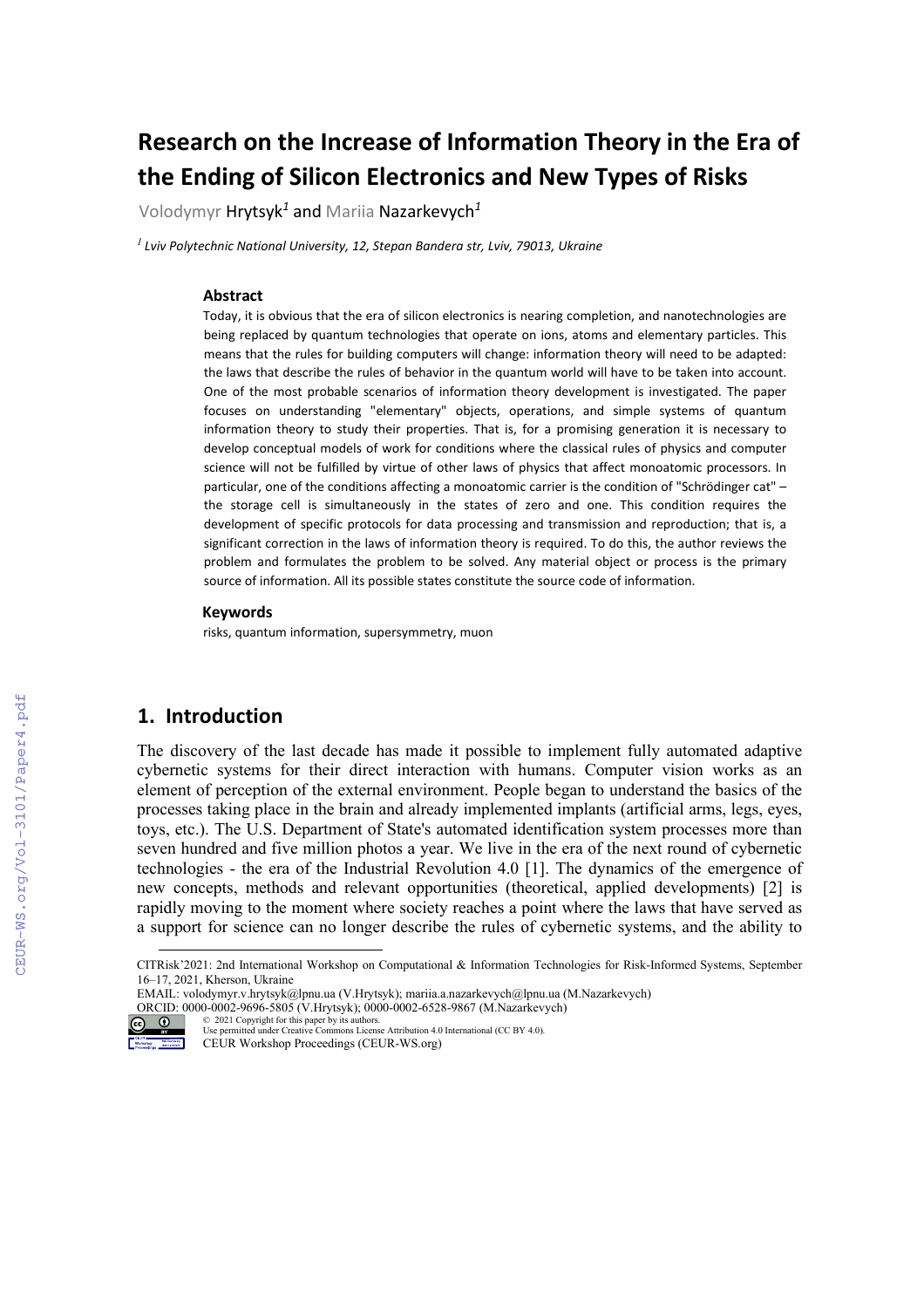# **Research on the Increase of Information Theory in the Era of the Ending of Silicon Electronics and New Types of Risks**

Volodymyr Hrytsyk*<sup>1</sup>* and Mariia Nazarkevych*<sup>1</sup>*

*<sup>1</sup>Lviv Polytechnic National University, 12, Stepan Bandera str, Lviv, 79013, Ukraine* 

#### **Abstract**

Today, it is obvious that the era of silicon electronics is nearing completion, and nanotechnologies are being replaced by quantum technologies that operate on ions, atoms and elementary particles. This means that the rules for building computers will change: information theory will need to be adapted: the laws that describe the rules of behavior in the quantum world will have to be taken into account. One of the most probable scenarios of information theory development is investigated. The paper focuses on understanding "elementary" objects, operations, and simple systems of quantum information theory to study their properties. That is, for a promising generation it is necessary to develop conceptual models of work for conditions where the classical rules of physics and computer science will not be fulfilled by virtue of other laws of physics that affect monoatomic processors. In particular, one of the conditions affecting a monoatomic carrier is the condition of "Schrödinger cat" the storage cell is simultaneously in the states of zero and one. This condition requires the development of specific protocols for data processing and transmission and reproduction; that is, a significant correction in the laws of information theory is required. To do this, the author reviews the problem and formulates the problem to be solved. Any material object or process is the primary source of information. All its possible states constitute the source code of information.

#### **Keywords [1](#page-0-0)**

risks, quantum information, supersymmetry, muon

## **1. Introduction**

The discovery of the last decade has made it possible to implement fully automated adaptive cybernetic systems for their direct interaction with humans. Computer vision works as an element of perception of the external environment. People began to understand the basics of the processes taking place in the brain and already implemented implants (artificial arms, legs, eyes, toys, etc.). The U.S. Department of State's automated identification system processes more than seven hundred and five million photos a year. We live in the era of the next round of cybernetic technologies - the era of the Industrial Revolution 4.0 [1]. The dynamics of the emergence of new concepts, methods and relevant opportunities (theoretical, applied developments) [2] is rapidly moving to the moment where society reaches a point where the laws that have served as a support for science can no longer describe the rules of cybernetic systems, and the ability to

ORCID[: 0000-0002-9696-5805](https://orcid.org/0000-0002-9696-5805) (V.Hrytsyk)[; 0000-0002-6528-9867](https://orcid.org/0000-0002-6528-9867) (M.Nazarkevych)



<sup>©</sup> 2021 Copyright for this paper by its authors. Use permitted under Creative Commons License Attribution 4.0 International (CC BY 4.0). CEUR Workshop Proceedings (CEUR-WS.org)

<span id="page-0-0"></span>CITRisk'2021: 2nd International Workshop on Computational & Information Technologies for Risk-Informed Systems, September 16–17, 2021, Kherson, Ukraine

EMAIL[: volodymyr.v.hrytsyk@lpnu.ua](mailto:volodymyr.v.hrytsyk@lpnu.ua) (V.Hrytsyk)[; mariia.a.nazarkevych@lpnu.ua](mailto:mariia.a.nazarkevych@lpnu.ua) (M.Nazarkevych)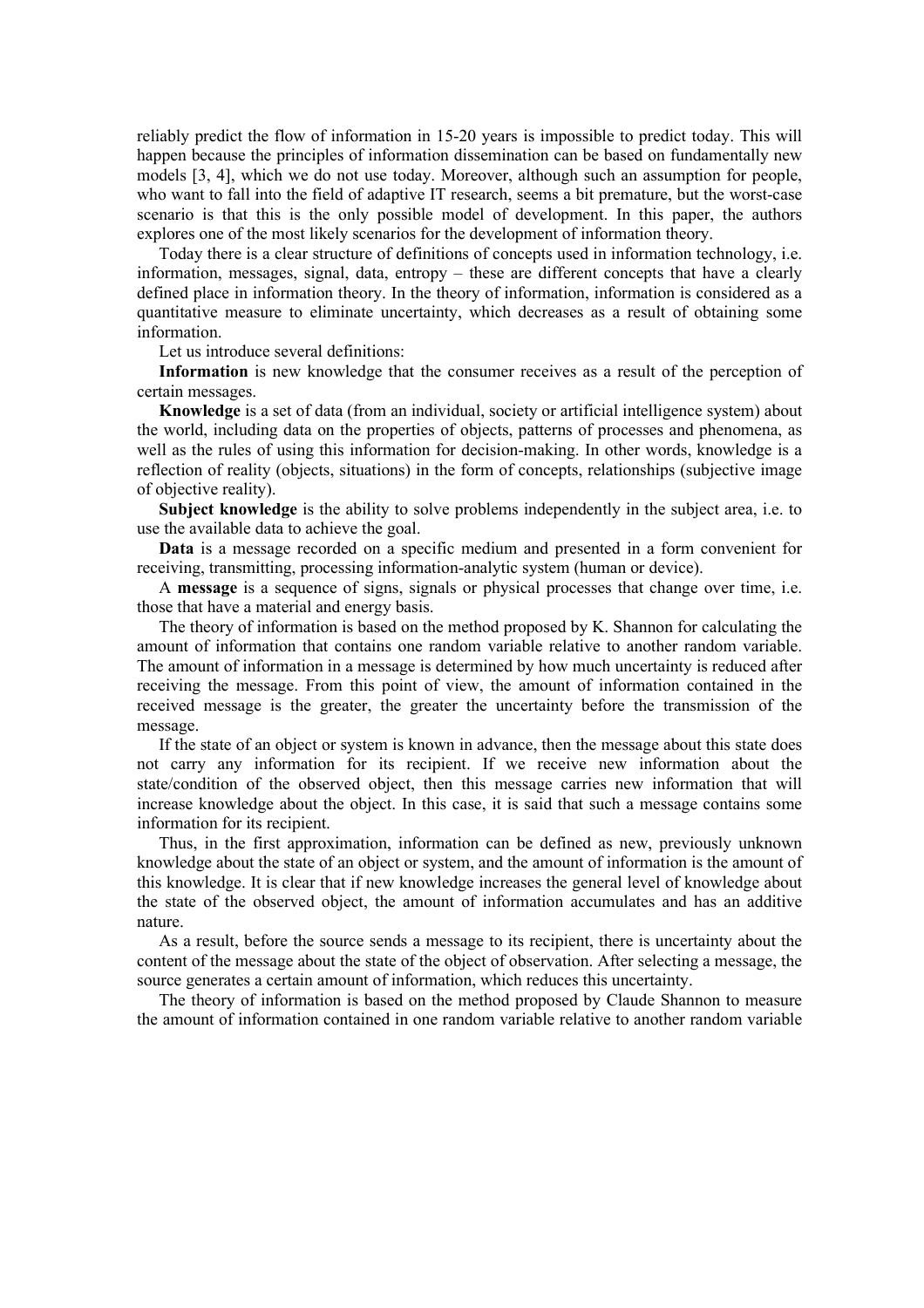reliably predict the flow of information in 15-20 years is impossible to predict today. This will happen because the principles of information dissemination can be based on fundamentally new models [3, 4], which we do not use today. Moreover, although such an assumption for people, who want to fall into the field of adaptive IT research, seems a bit premature, but the worst-case scenario is that this is the only possible model of development. In this paper, the authors explores one of the most likely scenarios for the development of information theory.

Today there is a clear structure of definitions of concepts used in information technology, i.e. information, messages, signal, data, entropy – these are different concepts that have a clearly defined place in information theory. In the theory of information, information is considered as a quantitative measure to eliminate uncertainty, which decreases as a result of obtaining some information.

Let us introduce several definitions:

**Information** is new knowledge that the consumer receives as a result of the perception of certain messages.

**Knowledge** is a set of data (from an individual, society or artificial intelligence system) about the world, including data on the properties of objects, patterns of processes and phenomena, as well as the rules of using this information for decision-making. In other words, knowledge is a reflection of reality (objects, situations) in the form of concepts, relationships (subjective image of objective reality).

**Subject knowledge** is the ability to solve problems independently in the subject area, i.e. to use the available data to achieve the goal.

**Data** is a message recorded on a specific medium and presented in a form convenient for receiving, transmitting, processing information-analytic system (human or device).

A **message** is a sequence of signs, signals or physical processes that change over time, i.e. those that have a material and energy basis.

The theory of information is based on the method proposed by K. Shannon for calculating the amount of information that contains one random variable relative to another random variable. The amount of information in a message is determined by how much uncertainty is reduced after receiving the message. From this point of view, the amount of information contained in the received message is the greater, the greater the uncertainty before the transmission of the message.

If the state of an object or system is known in advance, then the message about this state does not carry any information for its recipient. If we receive new information about the state/condition of the observed object, then this message carries new information that will increase knowledge about the object. In this case, it is said that such a message contains some information for its recipient.

Thus, in the first approximation, information can be defined as new, previously unknown knowledge about the state of an object or system, and the amount of information is the amount of this knowledge. It is clear that if new knowledge increases the general level of knowledge about the state of the observed object, the amount of information accumulates and has an additive nature.

As a result, before the source sends a message to its recipient, there is uncertainty about the content of the message about the state of the object of observation. After selecting a message, the source generates a certain amount of information, which reduces this uncertainty.

The theory of information is based on the method proposed by Claude Shannon to measure the amount of information contained in one random variable relative to another random variable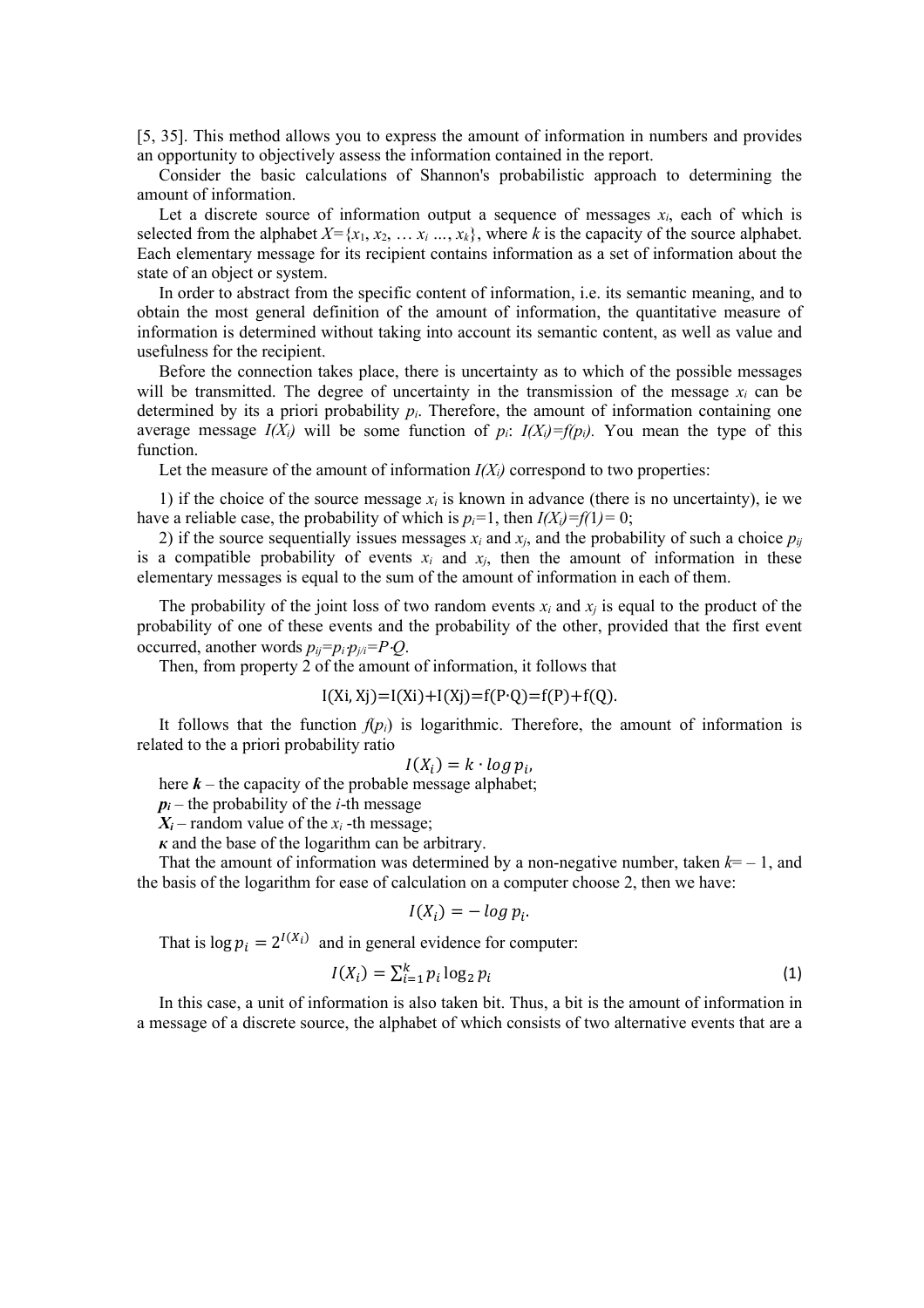[5, 35]. This method allows you to express the amount of information in numbers and provides an opportunity to objectively assess the information contained in the report.

Consider the basic calculations of Shannon's probabilistic approach to determining the amount of information.

Let a discrete source of information output a sequence of messages  $x_i$ , each of which is selected from the alphabet  $X = \{x_1, x_2, \ldots, x_i\}$ , where *k* is the capacity of the source alphabet. Each elementary message for its recipient contains information as a set of information about the state of an object or system.

In order to abstract from the specific content of information, i.e. its semantic meaning, and to obtain the most general definition of the amount of information, the quantitative measure of information is determined without taking into account its semantic content, as well as value and usefulness for the recipient.

Before the connection takes place, there is uncertainty as to which of the possible messages will be transmitted. The degree of uncertainty in the transmission of the message  $x_i$  can be determined by its a priori probability  $p_i$ . Therefore, the amount of information containing one average message  $I(X_i)$  will be some function of  $p_i$ :  $I(X_i) = f(p_i)$ . You mean the type of this function.

Let the measure of the amount of information  $I(X_i)$  correspond to two properties:

1) if the choice of the source message *xi* is known in advance (there is no uncertainty), ie we have a reliable case, the probability of which is  $p_i=1$ , then  $I(X_i)=f(1)=0$ ;

2) if the source sequentially issues messages  $x_i$  and  $x_j$ , and the probability of such a choice  $p_{ij}$ is a compatible probability of events  $x_i$  and  $x_j$ , then the amount of information in these elementary messages is equal to the sum of the amount of information in each of them.

The probability of the joint loss of two random events  $x_i$  and  $x_j$  is equal to the product of the probability of one of these events and the probability of the other, provided that the first event occurred, another words *pij=pi*⋅*pj/i=P*⋅*Q*.

Then, from property 2 of the amount of information, it follows that

$$
I(Xi, Xj) = I(Xi) + I(Xj) = f(P \cdot Q) = f(P) + f(Q).
$$

It follows that the function  $f(p_i)$  is logarithmic. Therefore, the amount of information is related to the a priori probability ratio

$$
I(X_i) = k \cdot \log p_i,
$$

here *k* – the capacity of the probable message alphabet;

 $p_i$  – the probability of the *i*-th message

 $X_i$  – random value of the  $x_i$  -th message;

*к* and the base of the logarithm can be arbitrary.

That the amount of information was determined by a non-negative number, taken  $k = -1$ , and the basis of the logarithm for ease of calculation on a computer choose 2, then we have:

$$
I(X_i) = -\log p_i.
$$

That is  $\log p_i = 2^{I(X_i)}$  and in general evidence for computer:

$$
I(X_i) = \sum_{i=1}^{k} p_i \log_2 p_i \tag{1}
$$

In this case, a unit of information is also taken bit. Thus, a bit is the amount of information in a message of a discrete source, the alphabet of which consists of two alternative events that are a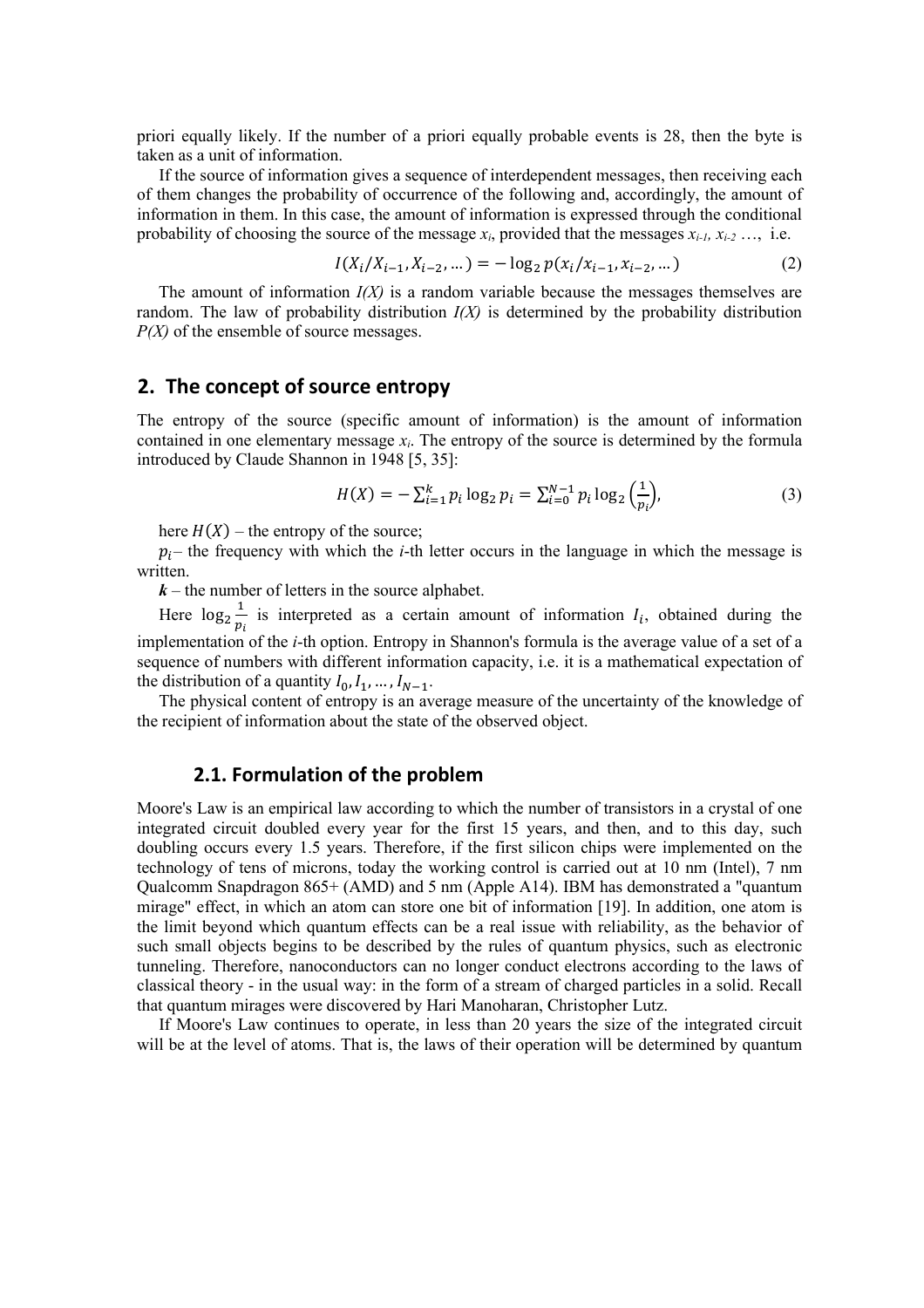priori equally likely. If the number of a priori equally probable events is 28, then the byte is taken as a unit of information.

If the source of information gives a sequence of interdependent messages, then receiving each of them changes the probability of occurrence of the following and, accordingly, the amount of information in them. In this case, the amount of information is expressed through the conditional probability of choosing the source of the message *xi*, provided that the messages *xi-1, xi-2* …, i.e.

$$
I(X_i/X_{i-1}, X_{i-2}, \dots) = -\log_2 p(x_i/X_{i-1}, x_{i-2}, \dots)
$$
 (2)

The amount of information  $I(X)$  is a random variable because the messages themselves are random. The law of probability distribution *I(X)* is determined by the probability distribution *P(X)* of the ensemble of source messages.

## **2. The concept of source entropy**

The entropy of the source (specific amount of information) is the amount of information contained in one elementary message *xi*. The entropy of the source is determined by the formula introduced by Claude Shannon in 1948 [5, 35]:

$$
H(X) = -\sum_{i=1}^{k} p_i \log_2 p_i = \sum_{i=0}^{N-1} p_i \log_2 \left(\frac{1}{p_i}\right),\tag{3}
$$

here  $H(X)$  – the entropy of the source;

 $p_i$ – the frequency with which the *i*-th letter occurs in the language in which the message is written.

 $k$  – the number of letters in the source alphabet.

Here  $\log_2 \frac{1}{p_1}$  $\frac{1}{p_i}$  is interpreted as a certain amount of information  $I_i$ , obtained during the implementation of the *i*-th option. Entropy in Shannon's formula is the average value of a set of a sequence of numbers with different information capacity, i.e. it is a mathematical expectation of the distribution of a quantity  $I_0, I_1, ..., I_{N-1}$ .

The physical content of entropy is an average measure of the uncertainty of the knowledge of the recipient of information about the state of the observed object.

## **2.1. Formulation of the problem**

Moore's Law is an empirical law according to which the number of transistors in a crystal of one integrated circuit doubled every year for the first 15 years, and then, and to this day, such doubling occurs every 1.5 years. Therefore, if the first silicon chips were implemented on the technology of tens of microns, today the working control is carried out at 10 nm (Intel), 7 nm Qualcomm Snapdragon 865+ (AMD) and 5 nm (Apple A14). IBM has demonstrated a "quantum mirage" effect, in which an atom can store one bit of information [19]. In addition, one atom is the limit beyond which quantum effects can be a real issue with reliability, as the behavior of such small objects begins to be described by the rules of quantum physics, such as electronic tunneling. Therefore, nanoconductors can no longer conduct electrons according to the laws of classical theory - in the usual way: in the form of a stream of charged particles in a solid. Recall that quantum mirages were discovered by Hari Manoharan, Christopher Lutz.

If Moore's Law continues to operate, in less than 20 years the size of the integrated circuit will be at the level of atoms. That is, the laws of their operation will be determined by quantum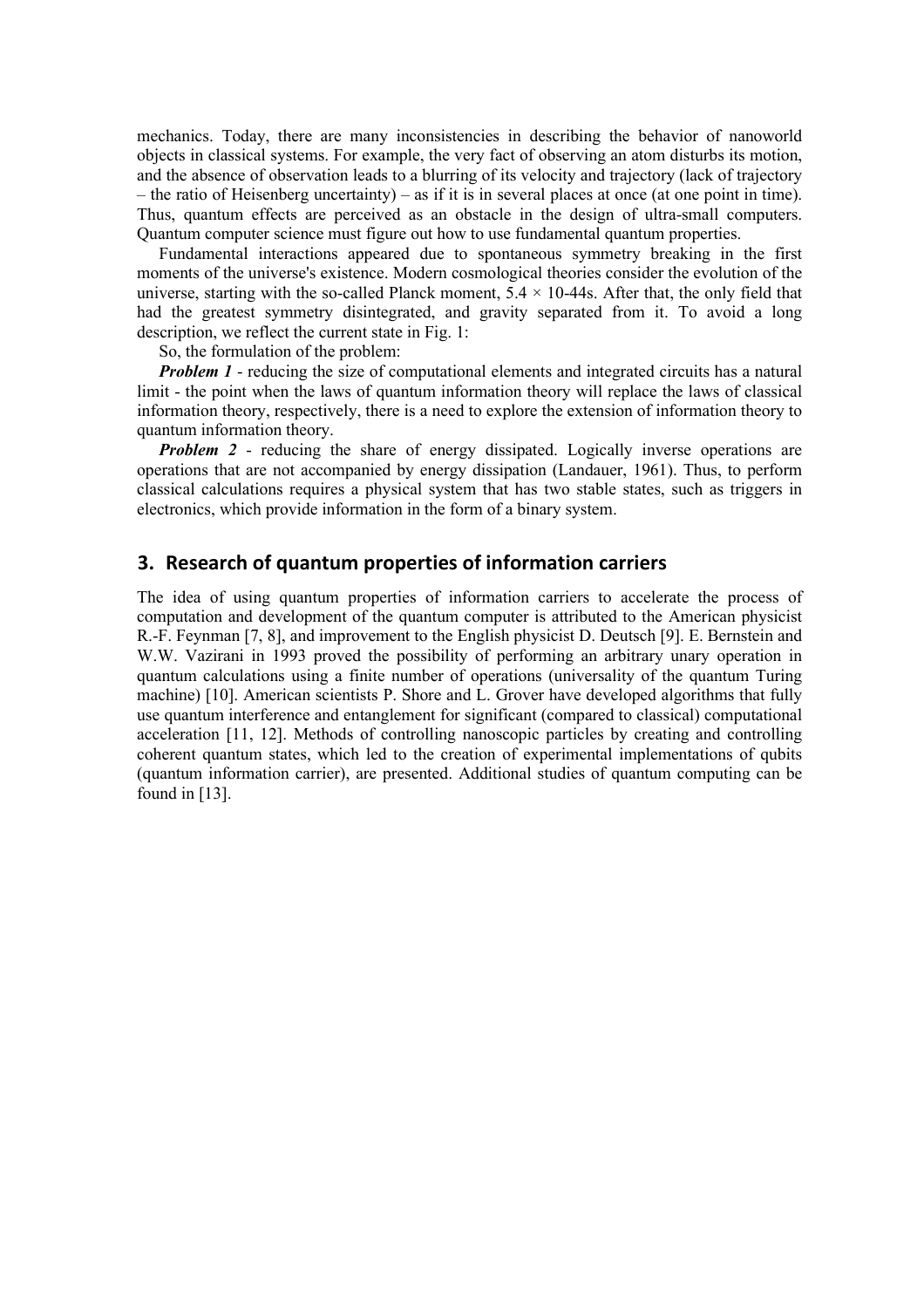mechanics. Today, there are many inconsistencies in describing the behavior of nanoworld objects in classical systems. For example, the very fact of observing an atom disturbs its motion, and the absence of observation leads to a blurring of its velocity and trajectory (lack of trajectory – the ratio of Heisenberg uncertainty) – as if it is in several places at once (at one point in time). Thus, quantum effects are perceived as an obstacle in the design of ultra-small computers. Quantum computer science must figure out how to use fundamental quantum properties.

Fundamental interactions appeared due to spontaneous symmetry breaking in the first moments of the universe's existence. Modern cosmological theories consider the evolution of the universe, starting with the so-called Planck moment,  $5.4 \times 10-44$ s. After that, the only field that had the greatest symmetry disintegrated, and gravity separated from it. To avoid a long description, we reflect the current state in Fig. 1:

So, the formulation of the problem:

*Problem 1* - reducing the size of computational elements and integrated circuits has a natural limit - the point when the laws of quantum information theory will replace the laws of classical information theory, respectively, there is a need to explore the extension of information theory to quantum information theory.

*Problem 2* - reducing the share of energy dissipated. Logically inverse operations are operations that are not accompanied by energy dissipation (Landauer, 1961). Thus, to perform classical calculations requires a physical system that has two stable states, such as triggers in electronics, which provide information in the form of a binary system.

## **3. Research of quantum properties of information carriers**

The idea of using quantum properties of information carriers to accelerate the process of computation and development of the quantum computer is attributed to the American physicist R.-F. Feynman [7, 8], and improvement to the English physicist D. Deutsch [9]. E. Bernstein and W.W. Vazirani in 1993 proved the possibility of performing an arbitrary unary operation in quantum calculations using a finite number of operations (universality of the quantum Turing machine) [10]. American scientists P. Shore and L. Grover have developed algorithms that fully use quantum interference and entanglement for significant (compared to classical) computational acceleration [11, 12]. Methods of controlling nanoscopic particles by creating and controlling coherent quantum states, which led to the creation of experimental implementations of qubits (quantum information carrier), are presented. Additional studies of quantum computing can be found in [13].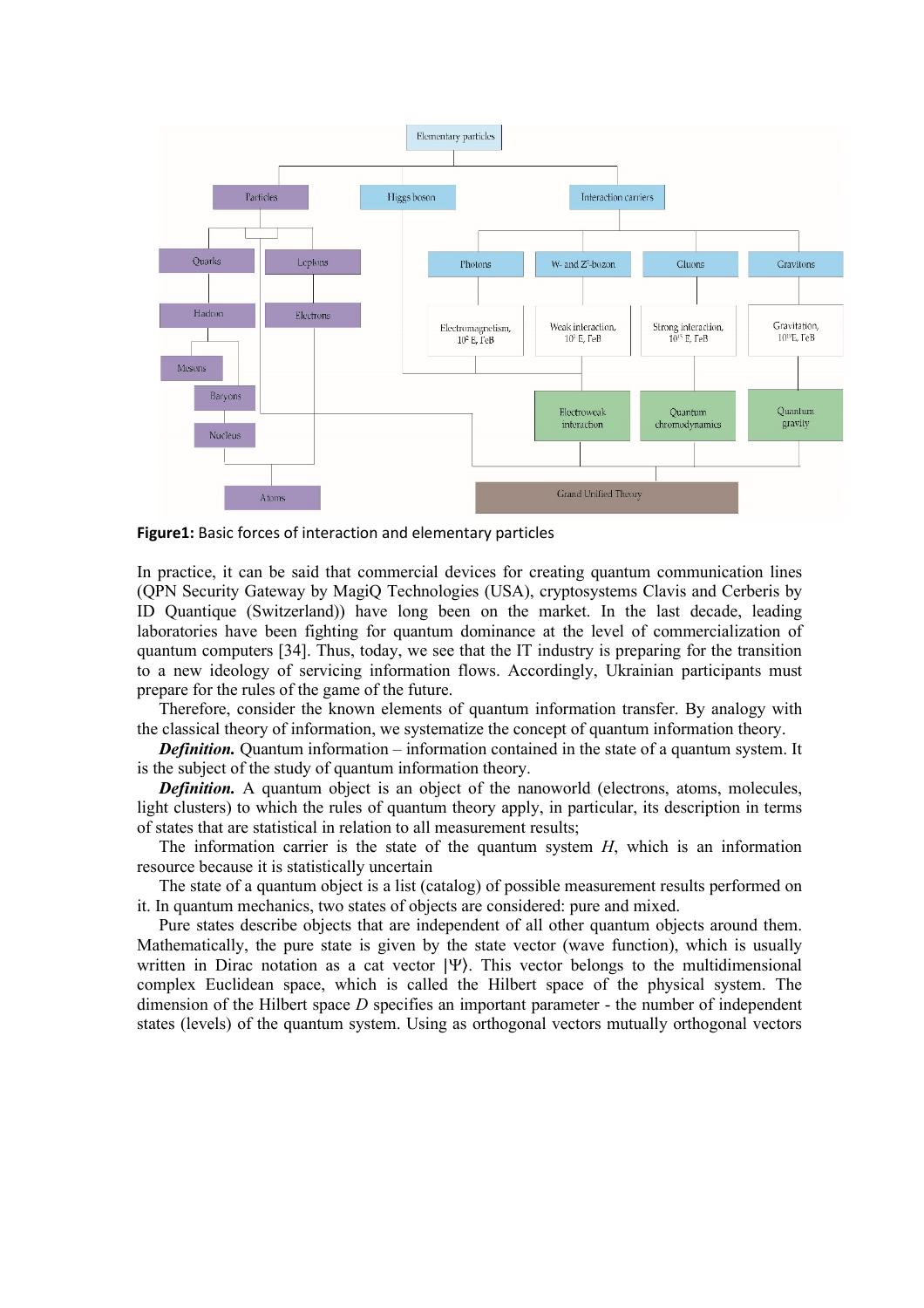

**Figure1:** Basic forces of interaction and elementary particles

In practice, it can be said that commercial devices for creating quantum communication lines (QPN Security Gateway by MagiQ Technologies (USA), cryptosystems Clavis and Cerberis by ID Quantique (Switzerland)) have long been on the market. In the last decade, leading laboratories have been fighting for quantum dominance at the level of commercialization of quantum computers [34]. Thus, today, we see that the IT industry is preparing for the transition to a new ideology of servicing information flows. Accordingly, Ukrainian participants must prepare for the rules of the game of the future.

Therefore, consider the known elements of quantum information transfer. By analogy with the classical theory of information, we systematize the concept of quantum information theory.

*Definition.* Quantum information – information contained in the state of a quantum system. It is the subject of the study of quantum information theory.

*Definition.* A quantum object is an object of the nanoworld (electrons, atoms, molecules, light clusters) to which the rules of quantum theory apply, in particular, its description in terms of states that are statistical in relation to all measurement results;

The information carrier is the state of the quantum system *H*, which is an information resource because it is statistically uncertain

The state of a quantum object is a list (catalog) of possible measurement results performed on it. In quantum mechanics, two states of objects are considered: pure and mixed.

Pure states describe objects that are independent of all other quantum objects around them. Mathematically, the pure state is given by the state vector (wave function), which is usually written in Dirac notation as a cat vector |Ψ⟩. This vector belongs to the multidimensional complex Euclidean space, which is called the Hilbert space of the physical system. The dimension of the Hilbert space *D* specifies an important parameter - the number of independent states (levels) of the quantum system. Using as orthogonal vectors mutually orthogonal vectors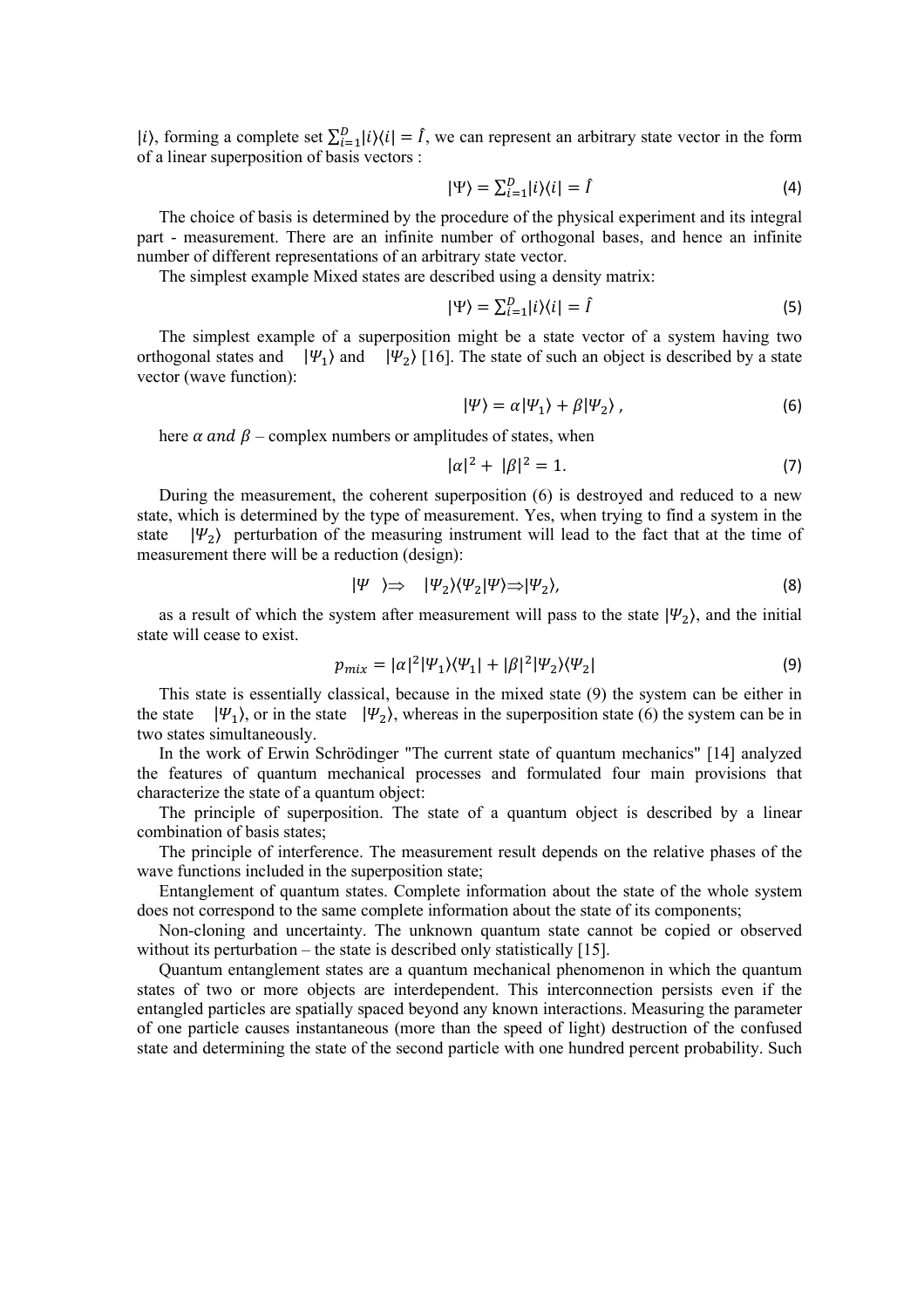|i), forming a complete set  $\sum_{i=1}^{D} |i\rangle\langle i| = I$ , we can represent an arbitrary state vector in the form of a linear superposition of basis vectors :

$$
|\Psi\rangle = \sum_{i=1}^{D} |i\rangle\langle i| = \hat{I}
$$
 (4)

The choice of basis is determined by the procedure of the physical experiment and its integral part - measurement. There are an infinite number of orthogonal bases, and hence an infinite number of different representations of an arbitrary state vector.

The simplest example Mixed states are described using a density matrix:

$$
|\Psi\rangle = \sum_{i=1}^{D} |i\rangle\langle i| = \hat{I}
$$
 (5)

The simplest example of a superposition might be a state vector of a system having two orthogonal states and  $|\Psi_1\rangle$  and  $|\Psi_2\rangle$  [16]. The state of such an object is described by a state vector (wave function):

$$
|\Psi\rangle = \alpha |\Psi_1\rangle + \beta |\Psi_2\rangle, \qquad (6)
$$

here  $\alpha$  and  $\beta$  – complex numbers or amplitudes of states, when

$$
|\alpha|^2 + |\beta|^2 = 1.
$$
 (7)

During the measurement, the coherent superposition (6) is destroyed and reduced to a new state, which is determined by the type of measurement. Yes, when trying to find a system in the state  $|\Psi_2\rangle$  perturbation of the measuring instrument will lead to the fact that at the time of measurement there will be a reduction (design):

$$
|\Psi \rangle \Rightarrow |\Psi_2\rangle \langle \Psi_2 | \Psi \rangle \Rightarrow |\Psi_2\rangle, \tag{8}
$$

as a result of which the system after measurement will pass to the state  $|\Psi_2\rangle$ , and the initial state will cease to exist.

$$
p_{mix} = |\alpha|^2 |\Psi_1\rangle \langle \Psi_1| + |\beta|^2 |\Psi_2\rangle \langle \Psi_2| \tag{9}
$$

This state is essentially classical, because in the mixed state (9) the system can be either in the state  $|\Psi_1\rangle$ , or in the state  $|\Psi_2\rangle$ , whereas in the superposition state (6) the system can be in two states simultaneously.

In the work of Erwin Schrödinger "The current state of quantum mechanics" [14] analyzed the features of quantum mechanical processes and formulated four main provisions that characterize the state of a quantum object:

The principle of superposition. The state of a quantum object is described by a linear combination of basis states;

The principle of interference. The measurement result depends on the relative phases of the wave functions included in the superposition state;

Entanglement of quantum states. Complete information about the state of the whole system does not correspond to the same complete information about the state of its components;

Non-cloning and uncertainty. The unknown quantum state cannot be copied or observed without its perturbation – the state is described only statistically [15].

Quantum entanglement states are a quantum mechanical phenomenon in which the quantum states of two or more objects are interdependent. This interconnection persists even if the entangled particles are spatially spaced beyond any known interactions. Measuring the parameter of one particle causes instantaneous (more than the speed of light) destruction of the confused state and determining the state of the second particle with one hundred percent probability. Such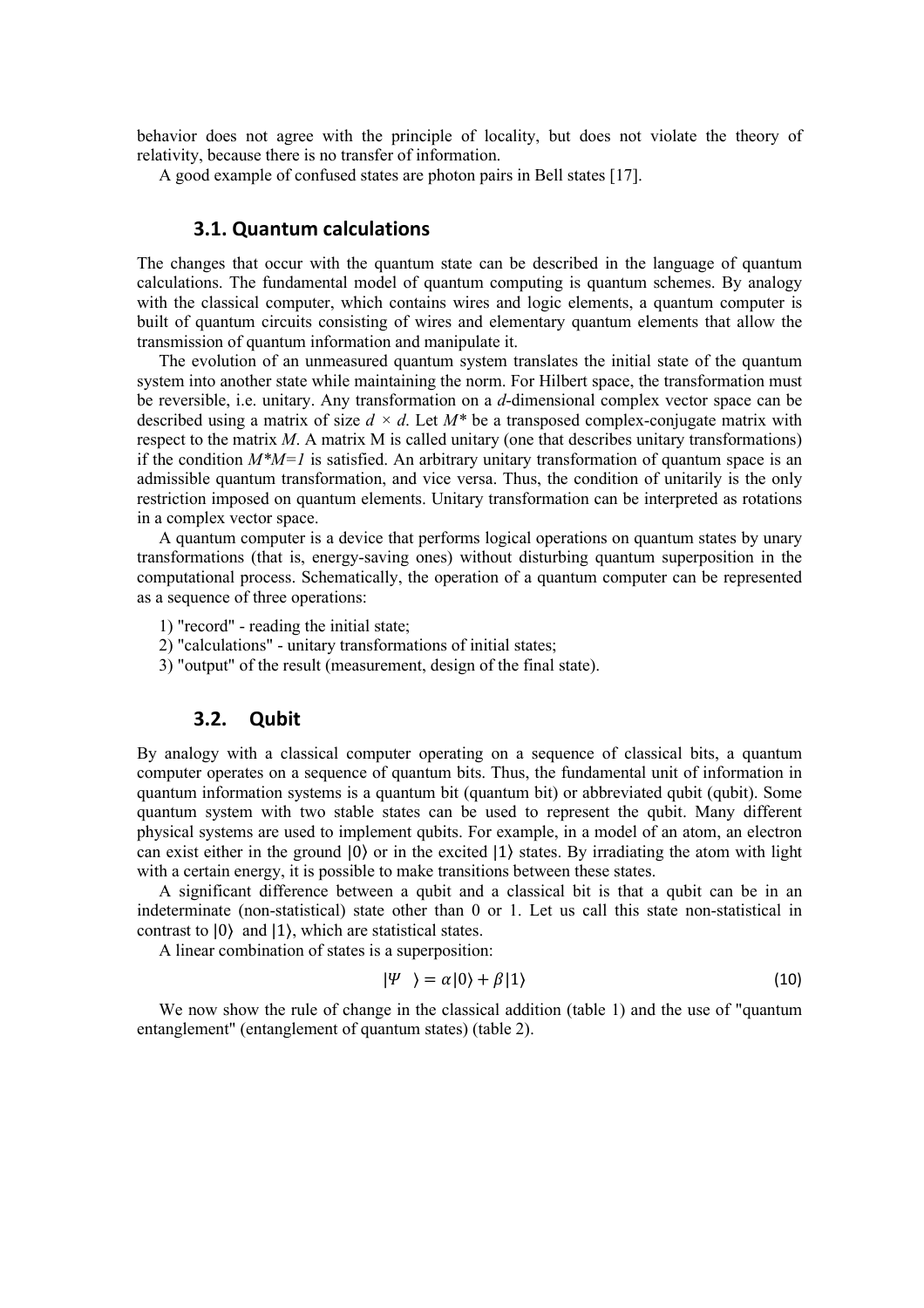behavior does not agree with the principle of locality, but does not violate the theory of relativity, because there is no transfer of information.

A good example of confused states are photon pairs in Bell states [17].

#### **3.1. Quantum calculations**

The changes that occur with the quantum state can be described in the language of quantum calculations. The fundamental model of quantum computing is quantum schemes. By analogy with the classical computer, which contains wires and logic elements, a quantum computer is built of quantum circuits consisting of wires and elementary quantum elements that allow the transmission of quantum information and manipulate it.

The evolution of an unmeasured quantum system translates the initial state of the quantum system into another state while maintaining the norm. For Hilbert space, the transformation must be reversible, i.e. unitary. Any transformation on a *d*-dimensional complex vector space can be described using a matrix of size  $d \times d$ . Let  $M^*$  be a transposed complex-conjugate matrix with respect to the matrix *M*. A matrix M is called unitary (one that describes unitary transformations) if the condition  $M^*M=1$  is satisfied. An arbitrary unitary transformation of quantum space is an admissible quantum transformation, and vice versa. Thus, the condition of unitarily is the only restriction imposed on quantum elements. Unitary transformation can be interpreted as rotations in a complex vector space.

A quantum computer is a device that performs logical operations on quantum states by unary transformations (that is, energy-saving ones) without disturbing quantum superposition in the computational process. Schematically, the operation of a quantum computer can be represented as a sequence of three operations:

- 1) "record" reading the initial state;
- 2) "calculations" unitary transformations of initial states;
- 3) "output" of the result (measurement, design of the final state).

#### **3.2. Qubit**

By analogy with a classical computer operating on a sequence of classical bits, a quantum computer operates on a sequence of quantum bits. Thus, the fundamental unit of information in quantum information systems is a quantum bit (quantum bit) or abbreviated qubit (qubit). Some quantum system with two stable states can be used to represent the qubit. Many different physical systems are used to implement qubits. For example, in a model of an atom, an electron can exist either in the ground |0⟩ or in the excited |1⟩ states. By irradiating the atom with light with a certain energy, it is possible to make transitions between these states.

A significant difference between a qubit and a classical bit is that a qubit can be in an indeterminate (non-statistical) state other than 0 or 1. Let us call this state non-statistical in contrast to |0⟩ and |1⟩, which are statistical states.

A linear combination of states is a superposition:

$$
|\Psi \rangle = \alpha |0\rangle + \beta |1\rangle \tag{10}
$$

We now show the rule of change in the classical addition (table 1) and the use of "quantum entanglement" (entanglement of quantum states) (table 2).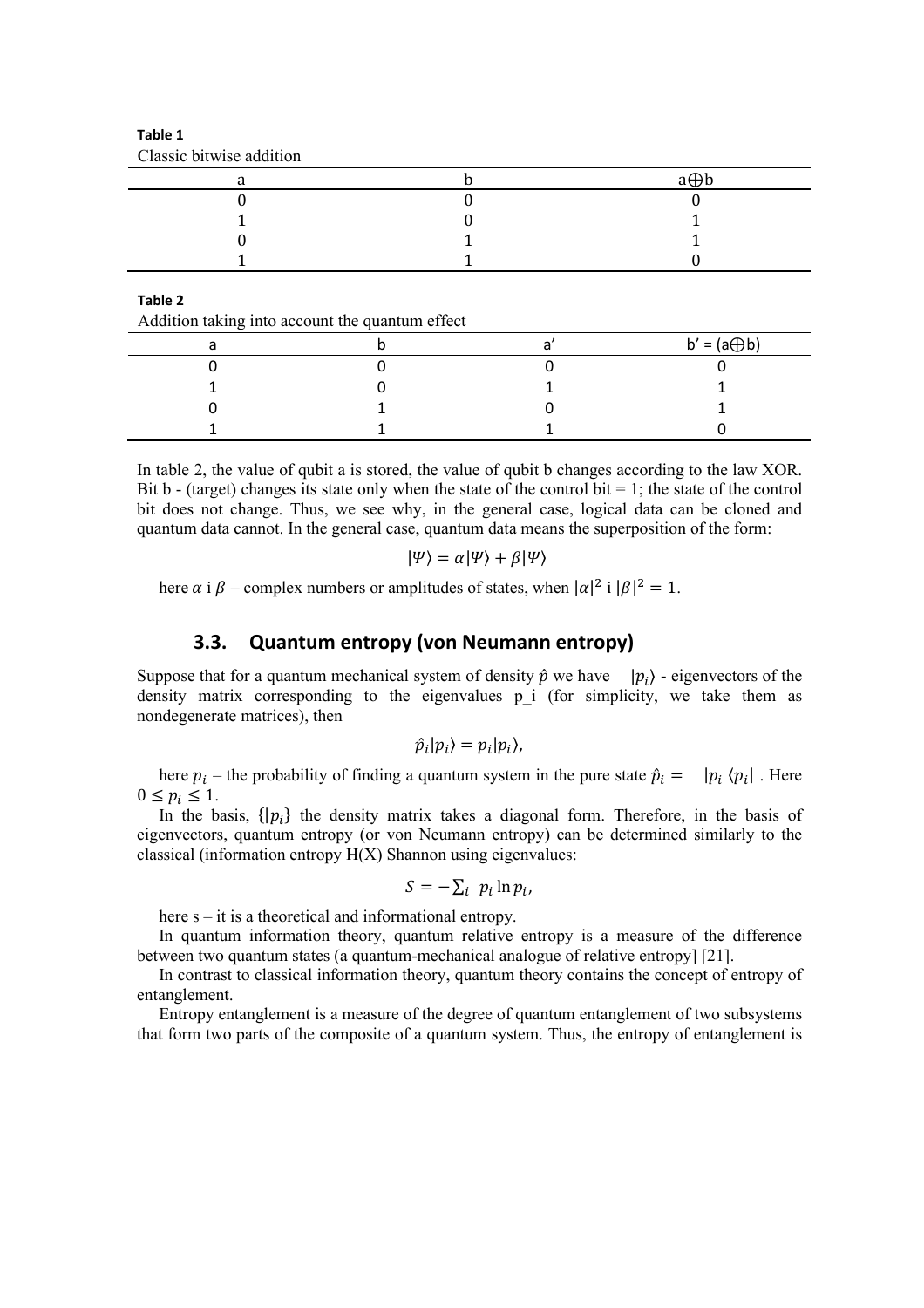| Classic bitwise addition |     |
|--------------------------|-----|
|                          | a⊕b |
|                          |     |
|                          |     |
|                          |     |
|                          |     |

**Table 1** Classic bitwise addition

**Table 2**

Addition taking into account the quantum effect

|  | $b' = (a \bigoplus b)$ |
|--|------------------------|
|  |                        |
|  |                        |
|  |                        |
|  |                        |

In table 2, the value of qubit a is stored, the value of qubit b changes according to the law XOR. Bit b - (target) changes its state only when the state of the control bit  $= 1$ ; the state of the control bit does not change. Thus, we see why, in the general case, logical data can be cloned and quantum data cannot. In the general case, quantum data means the superposition of the form:

$$
|\Psi\rangle = \alpha |\Psi\rangle + \beta |\Psi\rangle
$$

here  $\alpha$  i  $\beta$  – complex numbers or amplitudes of states, when  $|\alpha|^2$  i  $|\beta|^2 = 1$ .

## **3.3. Quantum entropy (von Neumann entropy)**

Suppose that for a quantum mechanical system of density  $\hat{p}$  we have  $|p_i\rangle$  - eigenvectors of the density matrix corresponding to the eigenvalues p i (for simplicity, we take them as nondegenerate matrices), then

$$
\hat{p}_i|p_i\rangle=p_i|p_i\rangle,
$$

here  $p_i$  – the probability of finding a quantum system in the pure state  $\hat{p}_i = |p_i \langle p_i|$ . Here  $0 \leq p_i \leq 1$ .

In the basis,  $\{ |p_i \}$  the density matrix takes a diagonal form. Therefore, in the basis of eigenvectors, quantum entropy (or von Neumann entropy) can be determined similarly to the classical (information entropy  $H(X)$  Shannon using eigenvalues:

$$
S=-\sum_i p_i \ln p_i,
$$

here  $s - it$  is a theoretical and informational entropy.

In quantum information theory, quantum relative entropy is a measure of the difference between two quantum states (a quantum-mechanical analogue of relative entropy] [21].

In contrast to classical information theory, quantum theory contains the concept of entropy of entanglement.

Entropy entanglement is a measure of the degree of quantum entanglement of two subsystems that form two parts of the composite of a quantum system. Thus, the entropy of entanglement is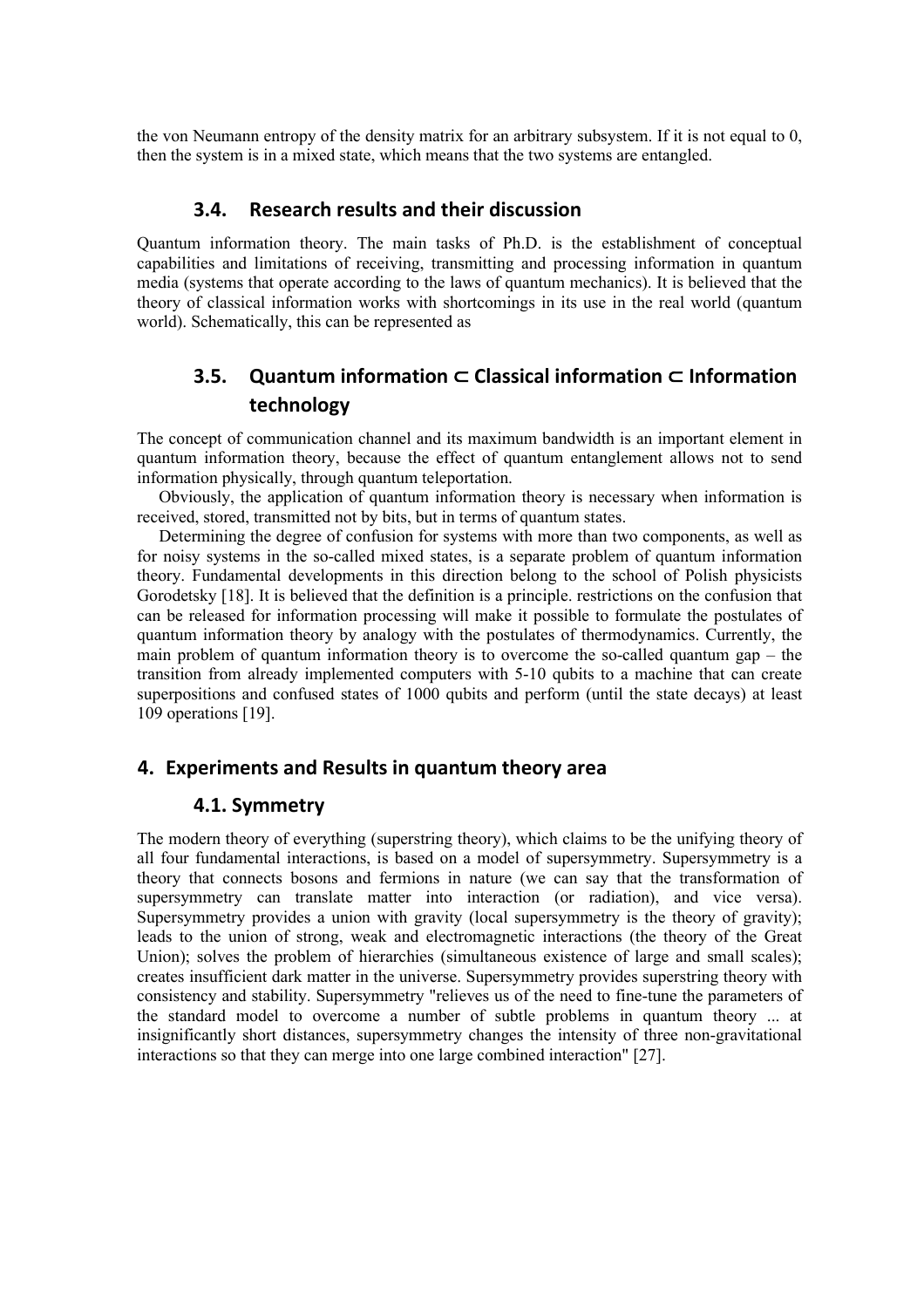the von Neumann entropy of the density matrix for an arbitrary subsystem. If it is not equal to 0, then the system is in a mixed state, which means that the two systems are entangled.

#### **3.4. Research results and their discussion**

Quantum information theory. The main tasks of Ph.D. is the establishment of conceptual capabilities and limitations of receiving, transmitting and processing information in quantum media (systems that operate according to the laws of quantum mechanics). It is believed that the theory of classical information works with shortcomings in its use in the real world (quantum world). Schematically, this can be represented as

## **3.5. Quantum information** ⊂ **Classical information** ⊂ **Information technology**

The concept of communication channel and its maximum bandwidth is an important element in quantum information theory, because the effect of quantum entanglement allows not to send information physically, through quantum teleportation.

Obviously, the application of quantum information theory is necessary when information is received, stored, transmitted not by bits, but in terms of quantum states.

Determining the degree of confusion for systems with more than two components, as well as for noisy systems in the so-called mixed states, is a separate problem of quantum information theory. Fundamental developments in this direction belong to the school of Polish physicists Gorodetsky [18]. It is believed that the definition is a principle. restrictions on the confusion that can be released for information processing will make it possible to formulate the postulates of quantum information theory by analogy with the postulates of thermodynamics. Currently, the main problem of quantum information theory is to overcome the so-called quantum gap – the transition from already implemented computers with 5-10 qubits to a machine that can create superpositions and confused states of 1000 qubits and perform (until the state decays) at least 109 operations [19].

## **4. Experiments and Results in quantum theory area**

#### **4.1. Symmetry**

The modern theory of everything (superstring theory), which claims to be the unifying theory of all four fundamental interactions, is based on a model of supersymmetry. Supersymmetry is a theory that connects bosons and fermions in nature (we can say that the transformation of supersymmetry can translate matter into interaction (or radiation), and vice versa). Supersymmetry provides a union with gravity (local supersymmetry is the theory of gravity); leads to the union of strong, weak and electromagnetic interactions (the theory of the Great Union); solves the problem of hierarchies (simultaneous existence of large and small scales); creates insufficient dark matter in the universe. Supersymmetry provides superstring theory with consistency and stability. Supersymmetry "relieves us of the need to fine-tune the parameters of the standard model to overcome a number of subtle problems in quantum theory ... at insignificantly short distances, supersymmetry changes the intensity of three non-gravitational interactions so that they can merge into one large combined interaction" [27].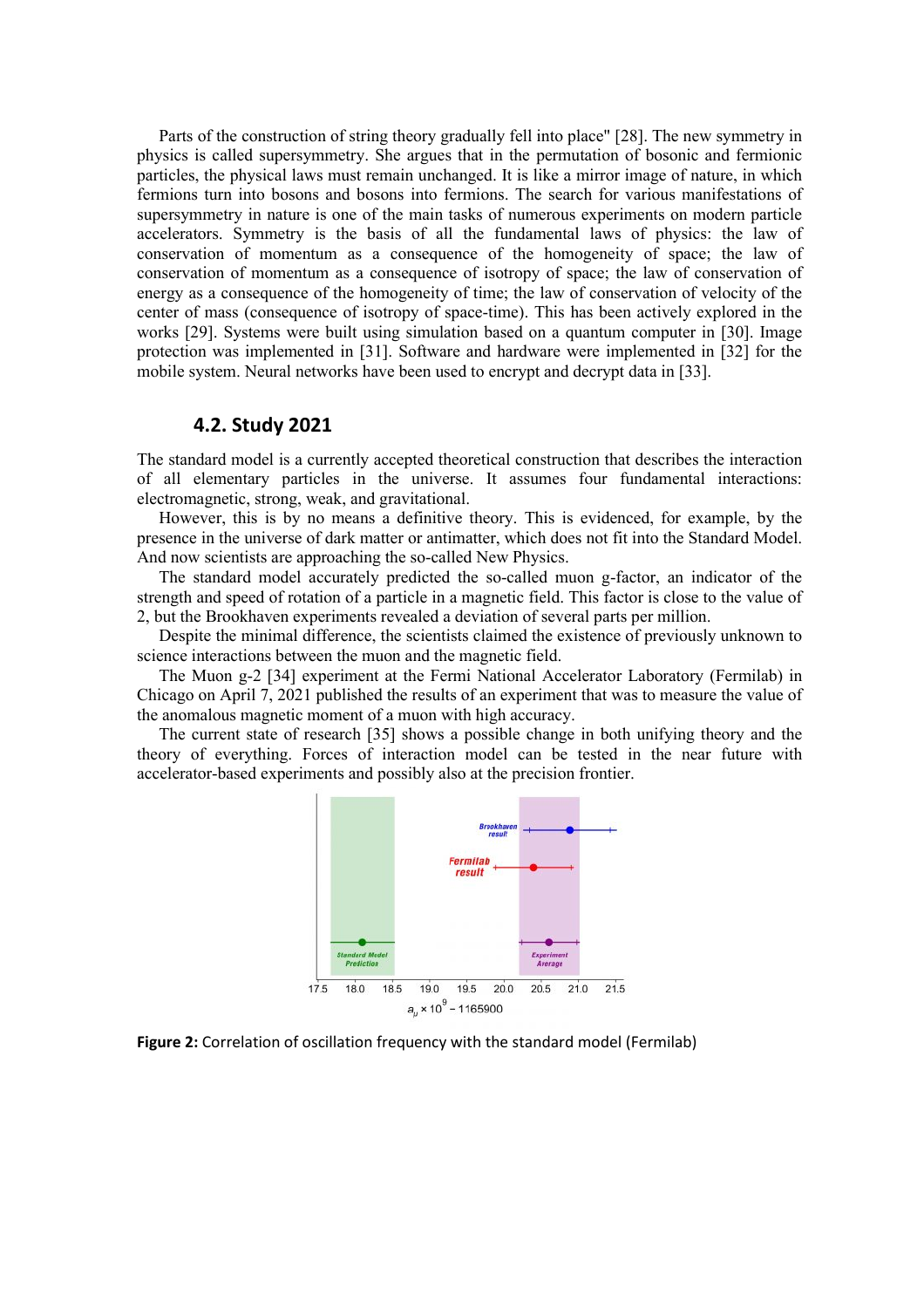Parts of the construction of string theory gradually fell into place" [28]. The new symmetry in physics is called supersymmetry. She argues that in the permutation of bosonic and fermionic particles, the physical laws must remain unchanged. It is like a mirror image of nature, in which fermions turn into bosons and bosons into fermions. The search for various manifestations of supersymmetry in nature is one of the main tasks of numerous experiments on modern particle accelerators. Symmetry is the basis of all the fundamental laws of physics: the law of conservation of momentum as a consequence of the homogeneity of space; the law of conservation of momentum as a consequence of isotropy of space; the law of conservation of energy as a consequence of the homogeneity of time; the law of conservation of velocity of the center of mass (consequence of isotropy of space-time). This has been actively explored in the works [29]. Systems were built using simulation based on a quantum computer in [30]. Image protection was implemented in [31]. Software and hardware were implemented in [32] for the mobile system. Neural networks have been used to encrypt and decrypt data in [33].

## **4.2. Study 2021**

The standard model is a currently accepted theoretical construction that describes the interaction of all elementary particles in the universe. It assumes four fundamental interactions: electromagnetic, strong, weak, and gravitational.

However, this is by no means a definitive theory. This is evidenced, for example, by the presence in the universe of dark matter or antimatter, which does not fit into the Standard Model. And now scientists are approaching the so-called New Physics.

The standard model accurately predicted the so-called muon g-factor, an indicator of the strength and speed of rotation of a particle in a magnetic field. This factor is close to the value of 2, but the Brookhaven experiments revealed a deviation of several parts per million.

Despite the minimal difference, the scientists claimed the existence of previously unknown to science interactions between the muon and the magnetic field.

The Muon g-2 [34] experiment at the Fermi National Accelerator Laboratory (Fermilab) in Chicago on April 7, 2021 published the results of an experiment that was to measure the value of the anomalous magnetic moment of a muon with high accuracy.

The current state of research [35] shows a possible change in both unifying theory and the theory of everything. Forces of interaction model can be tested in the near future with accelerator-based experiments and possibly also at the precision frontier.



**Figure 2:** Correlation of oscillation frequency with the standard model (Fermilab)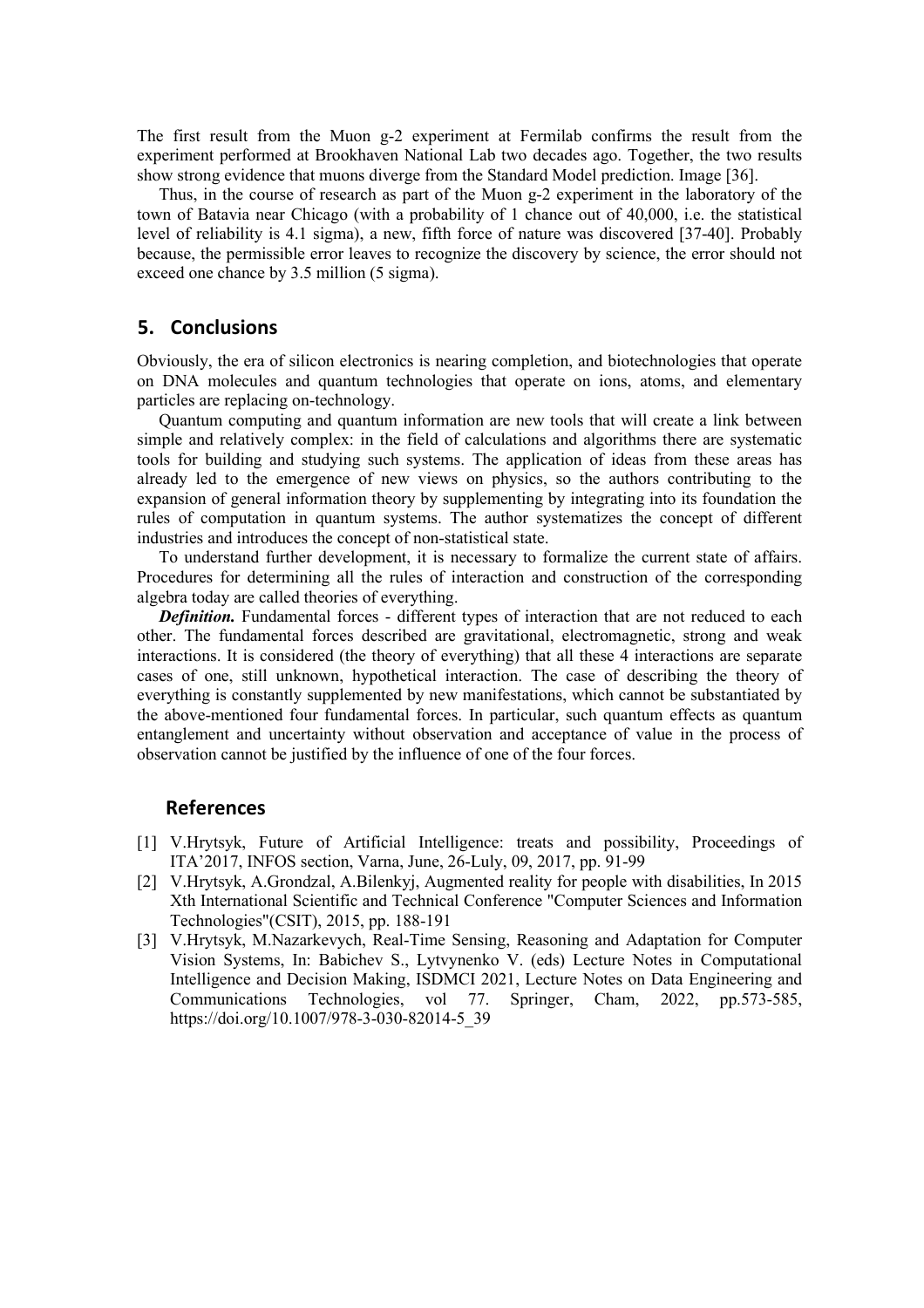The first result from the Muon g-2 experiment at Fermilab confirms the result from the experiment performed at Brookhaven National Lab two decades ago. Together, the two results show strong evidence that muons diverge from the Standard Model prediction. Image [36].

Thus, in the course of research as part of the Muon g-2 experiment in the laboratory of the town of Batavia near Chicago (with a probability of 1 chance out of 40,000, i.e. the statistical level of reliability is 4.1 sigma), a new, fifth force of nature was discovered [37-40]. Probably because, the permissible error leaves to recognize the discovery by science, the error should not exceed one chance by 3.5 million (5 sigma).

#### **5. Conclusions**

Obviously, the era of silicon electronics is nearing completion, and biotechnologies that operate on DNA molecules and quantum technologies that operate on ions, atoms, and elementary particles are replacing on-technology.

Quantum computing and quantum information are new tools that will create a link between simple and relatively complex: in the field of calculations and algorithms there are systematic tools for building and studying such systems. The application of ideas from these areas has already led to the emergence of new views on physics, so the authors contributing to the expansion of general information theory by supplementing by integrating into its foundation the rules of computation in quantum systems. The author systematizes the concept of different industries and introduces the concept of non-statistical state.

To understand further development, it is necessary to formalize the current state of affairs. Procedures for determining all the rules of interaction and construction of the corresponding algebra today are called theories of everything.

**Definition.** Fundamental forces - different types of interaction that are not reduced to each other. The fundamental forces described are gravitational, electromagnetic, strong and weak interactions. It is considered (the theory of everything) that all these 4 interactions are separate cases of one, still unknown, hypothetical interaction. The case of describing the theory of everything is constantly supplemented by new manifestations, which cannot be substantiated by the above-mentioned four fundamental forces. In particular, such quantum effects as quantum entanglement and uncertainty without observation and acceptance of value in the process of observation cannot be justified by the influence of one of the four forces.

#### **References**

- [1] V.Hrytsyk, Future of Artificial Intelligence: treats and possibility, Proceedings of ITA'2017, INFOS section, Varna, June, 26-Luly, 09, 2017, pp. 91-99
- [2] V.Hrytsyk, A.Grondzal, A.Bilenkyj, Augmented reality for people with disabilities, In 2015 Xth International Scientific and Technical Conference "Computer Sciences and Information Technologies"(CSIT), 2015, pp. 188-191
- [3] V.Hrytsyk, M.Nazarkevych, Real-Time Sensing, Reasoning and Adaptation for Computer Vision Systems, In: Babichev S., Lytvynenko V. (eds) Lecture Notes in Computational Intelligence and Decision Making, ISDMCI 2021, Lecture Notes on Data Engineering and Communications Technologies, vol 77. Springer, Cham, 2022, pp.573-585, https://doi.org/10.1007/978-3-030-82014-5\_39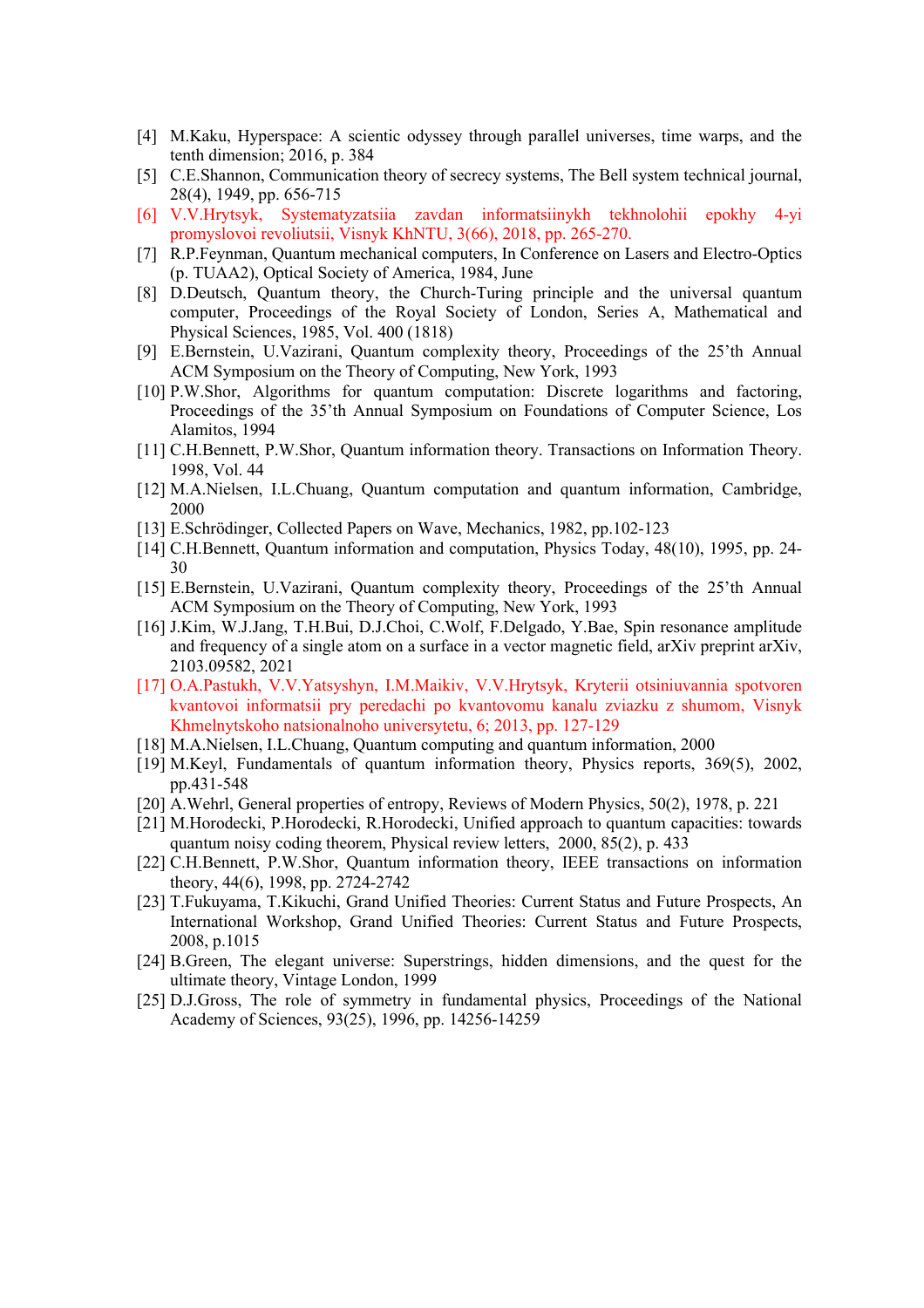- [4] M.Kaku, Hyperspace: A scientic odyssey through parallel universes, time warps, and the tenth dimension; 2016, p. 384
- [5] C.E.Shannon, Communication theory of secrecy systems, The Bell system technical journal, 28(4), 1949, pp. 656-715
- [6] V.V.Hrytsyk, Systematyzatsiia zavdan informatsiinykh tekhnolohii epokhy 4-yi promyslovoi revoliutsii, Visnyk KhNTU, 3(66), 2018, pp. 265-270.
- [7] R.P.Feynman, Quantum mechanical computers, In Conference on Lasers and Electro-Optics (p. TUAA2), Optical Society of America, 1984, June
- [8] D.Deutsch, Quantum theory, the Church-Turing principle and the universal quantum computer, Proceedings of the Royal Society of London, Series A, Mathematical and Physical Sciences, 1985, Vol. 400 (1818)
- [9] E.Bernstein, U.Vazirani, Quantum complexity theory, Proceedings of the 25'th Annual ACM Symposium on the Theory of Computing, New York, 1993
- [10] P.W.Shor, Algorithms for quantum computation: Discrete logarithms and factoring, Proceedings of the 35'th Annual Symposium on Foundations of Computer Science, Los Alamitos, 1994
- [11] C.H.Bennett, P.W.Shor, Quantum information theory. Transactions on Information Theory. 1998, Vol. 44
- [12] M.A.Nielsen, I.L.Chuang, Quantum computation and quantum information, Cambridge, 2000
- [13] E.Schrödinger, Collected Papers on Wave, Mechanics, 1982, pp.102-123
- [14] C.H.Bennett, Quantum information and computation, Physics Today, 48(10), 1995, pp. 24- 30
- [15] E.Bernstein, U.Vazirani, Quantum complexity theory, Proceedings of the 25'th Annual ACM Symposium on the Theory of Computing, New York, 1993
- [16] J.Kim, W.J.Jang, T.H.Bui, D.J.Choi, C.Wolf, F.Delgado, Y.Bae, Spin resonance amplitude and frequency of a single atom on a surface in a vector magnetic field, arXiv preprint arXiv, 2103.09582, 2021
- [17] O.A.Pastukh, V.V.Yatsyshyn, I.M.Maikiv, V.V.Hrytsyk, Kryterii otsiniuvannia spotvoren kvantovoi informatsii pry peredachi po kvantovomu kanalu zviazku z shumom, Visnyk Khmelnytskoho natsionalnoho universytetu, 6; 2013, pp. 127-129
- [18] M.A.Nielsen, I.L.Chuang, Quantum computing and quantum information, 2000
- [19] M.Keyl, Fundamentals of quantum information theory, Physics reports, 369(5), 2002, pp.431-548
- [20] A.Wehrl, General properties of entropy, Reviews of Modern Physics, 50(2), 1978, p. 221
- [21] M.Horodecki, P.Horodecki, R.Horodecki, Unified approach to quantum capacities: towards quantum noisy coding theorem, Physical review letters, 2000, 85(2), p. 433
- [22] C.H.Bennett, P.W.Shor, Quantum information theory, IEEE transactions on information theory, 44(6), 1998, pp. 2724-2742
- [23] T.Fukuyama, T.Kikuchi, Grand Unified Theories: Current Status and Future Prospects, An International Workshop, Grand Unified Theories: Current Status and Future Prospects, 2008, p.1015
- [24] B.Green, The elegant universe: Superstrings, hidden dimensions, and the quest for the ultimate theory, Vintage London, 1999
- [25] D.J.Gross, The role of symmetry in fundamental physics, Proceedings of the National Academy of Sciences, 93(25), 1996, pp. 14256-14259